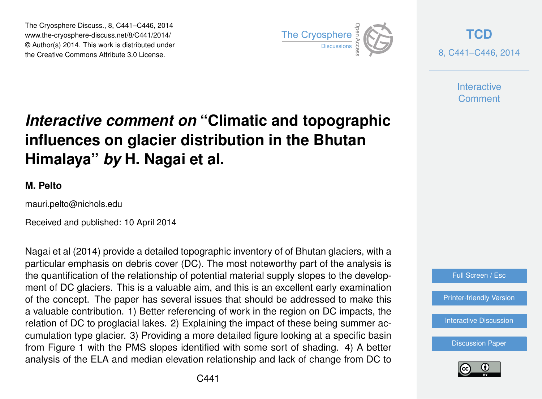The Cryosphere Discuss., 8, C441–C446, 2014 www.the-cryosphere-discuss.net/8/C441/2014/ © Author(s) 2014. This work is distributed under The Cryosphere Discuss., 8, C441–C446, 2014<br>
www.the-cryosphere-discuss.net/8/C441/2014/<br>
© Author(s) 2014. This work is distributed under<br>
the Creative Commons Attribute 3.0 License.



**[TCD](http://www.the-cryosphere-discuss.net)** 8, C441–C446, 2014

> **Interactive Comment**

## *Interactive comment on* **"Climatic and topographic influences on glacier distribution in the Bhutan Himalaya"** *by* **H. Nagai et al.**

## **M. Pelto**

mauri.pelto@nichols.edu

Received and published: 10 April 2014

Nagai et al (2014) provide a detailed topographic inventory of of Bhutan glaciers, with a particular emphasis on debris cover (DC). The most noteworthy part of the analysis is the quantification of the relationship of potential material supply slopes to the development of DC glaciers. This is a valuable aim, and this is an excellent early examination of the concept. The paper has several issues that should be addressed to make this a valuable contribution. 1) Better referencing of work in the region on DC impacts, the relation of DC to proglacial lakes. 2) Explaining the impact of these being summer accumulation type glacier. 3) Providing a more detailed figure looking at a specific basin from Figure 1 with the PMS slopes identified with some sort of shading. 4) A better analysis of the ELA and median elevation relationship and lack of change from DC to



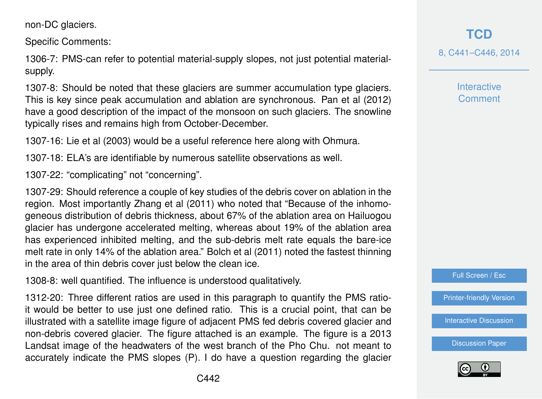non-DC glaciers.

Specific Comments:

1306-7: PMS-can refer to potential material-supply slopes, not just potential materialsupply.

1307-8: Should be noted that these glaciers are summer accumulation type glaciers. This is key since peak accumulation and ablation are synchronous. Pan et al (2012) have a good description of the impact of the monsoon on such glaciers. The snowline typically rises and remains high from October-December.

1307-16: Lie et al (2003) would be a useful reference here along with Ohmura.

1307-18: ELA's are identifiable by numerous satellite observations as well.

1307-22: "complicating" not "concerning".

1307-29: Should reference a couple of key studies of the debris cover on ablation in the region. Most importantly Zhang et al (2011) who noted that "Because of the inhomogeneous distribution of debris thickness, about 67% of the ablation area on Hailuogou glacier has undergone accelerated melting, whereas about 19% of the ablation area has experienced inhibited melting, and the sub-debris melt rate equals the bare-ice melt rate in only 14% of the ablation area." Bolch et al (2011) noted the fastest thinning in the area of thin debris cover just below the clean ice.

1308-8: well quantified. The influence is understood qualitatively.

1312-20: Three different ratios are used in this paragraph to quantify the PMS ratioit would be better to use just one defined ratio. This is a crucial point, that can be illustrated with a satellite image figure of adjacent PMS fed debris covered glacier and non-debris covered glacier. The figure attached is an example. The figure is a 2013 Landsat image of the headwaters of the west branch of the Pho Chu. not meant to accurately indicate the PMS slopes (P). I do have a question regarding the glacier

**[TCD](http://www.the-cryosphere-discuss.net)** 8, C441–C446, 2014

> **Interactive Comment**



[Printer-friendly Version](http://www.the-cryosphere-discuss.net/8/C441/2014/tcd-8-C441-2014-print.pdf)

**[Interactive Discussion](http://www.the-cryosphere-discuss.net/8/1305/2014/tcd-8-1305-2014-discussion.html)** 

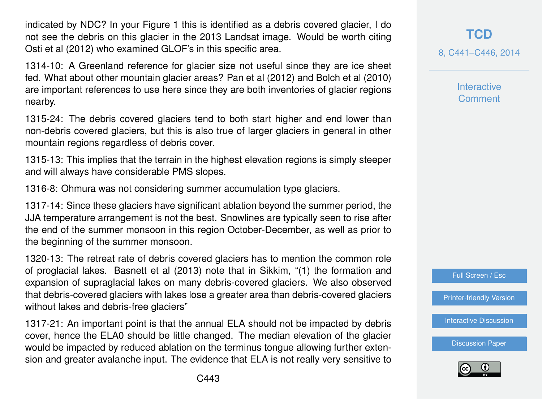indicated by NDC? In your Figure 1 this is identified as a debris covered glacier, I do not see the debris on this glacier in the 2013 Landsat image. Would be worth citing Osti et al (2012) who examined GLOF's in this specific area.

1314-10: A Greenland reference for glacier size not useful since they are ice sheet fed. What about other mountain glacier areas? Pan et al (2012) and Bolch et al (2010) are important references to use here since they are both inventories of glacier regions nearby.

1315-24: The debris covered glaciers tend to both start higher and end lower than non-debris covered glaciers, but this is also true of larger glaciers in general in other mountain regions regardless of debris cover.

1315-13: This implies that the terrain in the highest elevation regions is simply steeper and will always have considerable PMS slopes.

1316-8: Ohmura was not considering summer accumulation type glaciers.

1317-14: Since these glaciers have significant ablation beyond the summer period, the JJA temperature arrangement is not the best. Snowlines are typically seen to rise after the end of the summer monsoon in this region October-December, as well as prior to the beginning of the summer monsoon.

1320-13: The retreat rate of debris covered glaciers has to mention the common role of proglacial lakes. Basnett et al (2013) note that in Sikkim, "(1) the formation and expansion of supraglacial lakes on many debris-covered glaciers. We also observed that debris-covered glaciers with lakes lose a greater area than debris-covered glaciers without lakes and debris-free glaciers"

1317-21: An important point is that the annual ELA should not be impacted by debris cover, hence the ELA0 should be little changed. The median elevation of the glacier would be impacted by reduced ablation on the terminus tongue allowing further extension and greater avalanche input. The evidence that ELA is not really very sensitive to 8, C441–C446, 2014

**Interactive Comment** 



[Printer-friendly Version](http://www.the-cryosphere-discuss.net/8/C441/2014/tcd-8-C441-2014-print.pdf)

[Interactive Discussion](http://www.the-cryosphere-discuss.net/8/1305/2014/tcd-8-1305-2014-discussion.html)

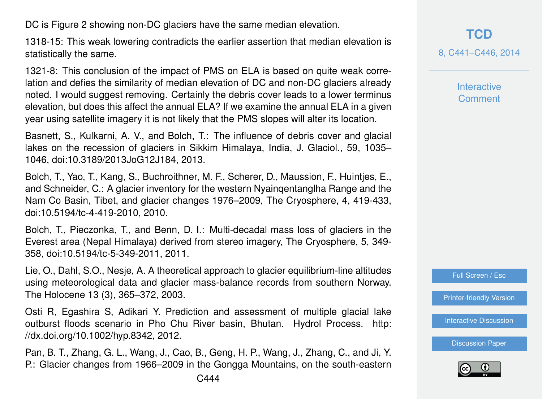DC is Figure 2 showing non-DC glaciers have the same median elevation.

1318-15: This weak lowering contradicts the earlier assertion that median elevation is statistically the same.

1321-8: This conclusion of the impact of PMS on ELA is based on quite weak correlation and defies the similarity of median elevation of DC and non-DC glaciers already noted. I would suggest removing. Certainly the debris cover leads to a lower terminus elevation, but does this affect the annual ELA? If we examine the annual ELA in a given year using satellite imagery it is not likely that the PMS slopes will alter its location.

Basnett, S., Kulkarni, A. V., and Bolch, T.: The influence of debris cover and glacial lakes on the recession of glaciers in Sikkim Himalaya, India, J. Glaciol., 59, 1035– 1046, doi:10.3189/2013JoG12J184, 2013.

Bolch, T., Yao, T., Kang, S., Buchroithner, M. F., Scherer, D., Maussion, F., Huintjes, E., and Schneider, C.: A glacier inventory for the western Nyainqentanglha Range and the Nam Co Basin, Tibet, and glacier changes 1976–2009, The Cryosphere, 4, 419-433, doi:10.5194/tc-4-419-2010, 2010.

Bolch, T., Pieczonka, T., and Benn, D. I.: Multi-decadal mass loss of glaciers in the Everest area (Nepal Himalaya) derived from stereo imagery, The Cryosphere, 5, 349- 358, doi:10.5194/tc-5-349-2011, 2011.

Lie, O., Dahl, S.O., Nesje, A. A theoretical approach to glacier equilibrium-line altitudes using meteorological data and glacier mass-balance records from southern Norway. The Holocene 13 (3), 365–372, 2003.

Osti R, Egashira S, Adikari Y. Prediction and assessment of multiple glacial lake outburst floods scenario in Pho Chu River basin, Bhutan. Hydrol Process. http: //dx.doi.org/10.1002/hyp.8342, 2012.

Pan, B. T., Zhang, G. L., Wang, J., Cao, B., Geng, H. P., Wang, J., Zhang, C., and Ji, Y. P.: Glacier changes from 1966–2009 in the Gongga Mountains, on the south-eastern **Interactive Comment** 



[Printer-friendly Version](http://www.the-cryosphere-discuss.net/8/C441/2014/tcd-8-C441-2014-print.pdf)

[Interactive Discussion](http://www.the-cryosphere-discuss.net/8/1305/2014/tcd-8-1305-2014-discussion.html)

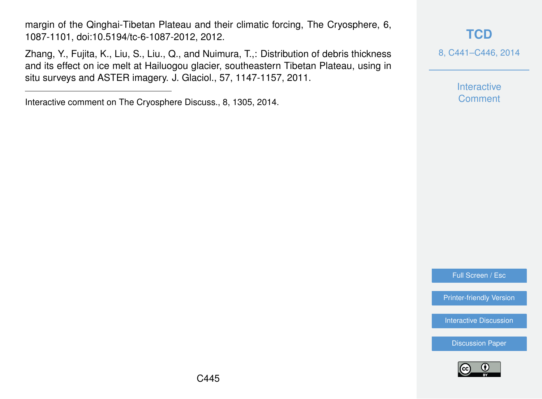margin of the Qinghai-Tibetan Plateau and their climatic forcing, The Cryosphere, 6, 1087-1101, doi:10.5194/tc-6-1087-2012, 2012.

Zhang, Y., Fujita, K., Liu, S., Liu., Q., and Nuimura, T.,: Distribution of debris thickness and its effect on ice melt at Hailuogou glacier, southeastern Tibetan Plateau, using in situ surveys and ASTER imagery. J. Glaciol., 57, 1147-1157, 2011.

## **[TCD](http://www.the-cryosphere-discuss.net)**

8, C441–C446, 2014

Interactive **Comment** 

Full Screen / Esc

[Printer-friendly Version](http://www.the-cryosphere-discuss.net/8/C441/2014/tcd-8-C441-2014-print.pdf)

[Interactive Discussion](http://www.the-cryosphere-discuss.net/8/1305/2014/tcd-8-1305-2014-discussion.html)



Interactive comment on The Cryosphere Discuss., 8, 1305, 2014.